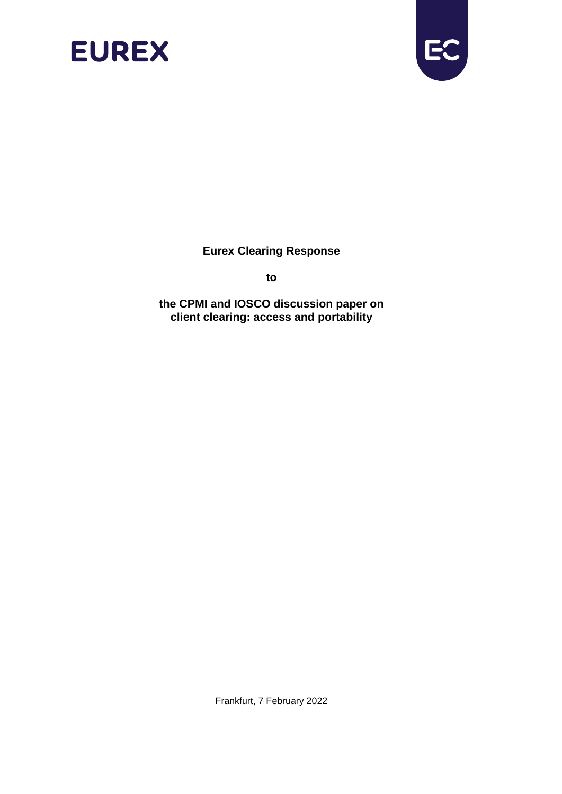



**Eurex Clearing Response** 

**to**

**the CPMI and IOSCO discussion paper on client clearing: access and portability**

Frankfurt, 7 February 2022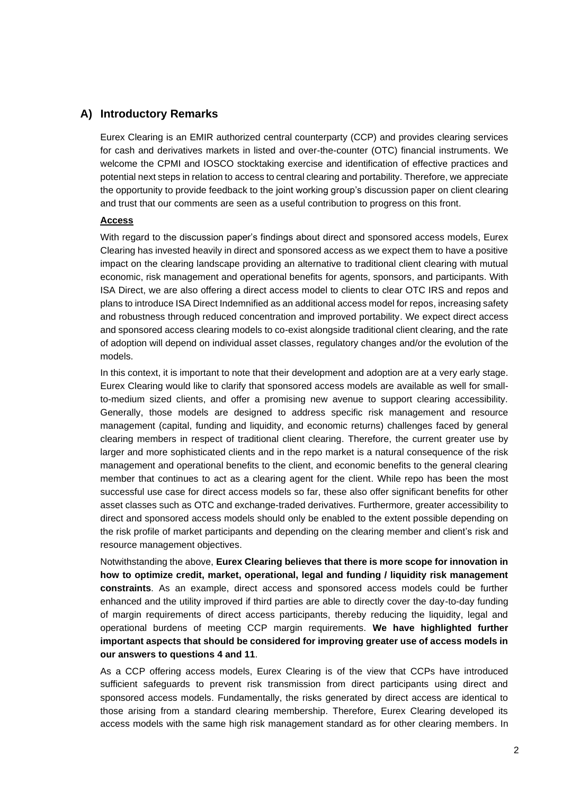### **A) Introductory Remarks**

Eurex Clearing is an EMIR authorized central counterparty (CCP) and provides clearing services for cash and derivatives markets in listed and over-the-counter (OTC) financial instruments. We welcome the CPMI and IOSCO stocktaking exercise and identification of effective practices and potential next steps in relation to access to central clearing and portability. Therefore, we appreciate the opportunity to provide feedback to the joint working group's discussion paper on client clearing and trust that our comments are seen as a useful contribution to progress on this front.

#### **Access**

With regard to the discussion paper's findings about direct and sponsored access models, Eurex Clearing has invested heavily in direct and sponsored access as we expect them to have a positive impact on the clearing landscape providing an alternative to traditional client clearing with mutual economic, risk management and operational benefits for agents, sponsors, and participants. With ISA Direct, we are also offering a direct access model to clients to clear OTC IRS and repos and plans to introduce ISA Direct Indemnified as an additional access model for repos, increasing safety and robustness through reduced concentration and improved portability. We expect direct access and sponsored access clearing models to co-exist alongside traditional client clearing, and the rate of adoption will depend on individual asset classes, regulatory changes and/or the evolution of the models.

In this context, it is important to note that their development and adoption are at a very early stage. Eurex Clearing would like to clarify that sponsored access models are available as well for smallto-medium sized clients, and offer a promising new avenue to support clearing accessibility. Generally, those models are designed to address specific risk management and resource management (capital, funding and liquidity, and economic returns) challenges faced by general clearing members in respect of traditional client clearing. Therefore, the current greater use by larger and more sophisticated clients and in the repo market is a natural consequence of the risk management and operational benefits to the client, and economic benefits to the general clearing member that continues to act as a clearing agent for the client. While repo has been the most successful use case for direct access models so far, these also offer significant benefits for other asset classes such as OTC and exchange-traded derivatives. Furthermore, greater accessibility to direct and sponsored access models should only be enabled to the extent possible depending on the risk profile of market participants and depending on the clearing member and client's risk and resource management objectives.

Notwithstanding the above, **Eurex Clearing believes that there is more scope for innovation in how to optimize credit, market, operational, legal and funding / liquidity risk management constraints**. As an example, direct access and sponsored access models could be further enhanced and the utility improved if third parties are able to directly cover the day-to-day funding of margin requirements of direct access participants, thereby reducing the liquidity, legal and operational burdens of meeting CCP margin requirements. **We have highlighted further important aspects that should be considered for improving greater use of access models in our answers to questions 4 and 11**.

As a CCP offering access models, Eurex Clearing is of the view that CCPs have introduced sufficient safeguards to prevent risk transmission from direct participants using direct and sponsored access models. Fundamentally, the risks generated by direct access are identical to those arising from a standard clearing membership. Therefore, Eurex Clearing developed its access models with the same high risk management standard as for other clearing members. In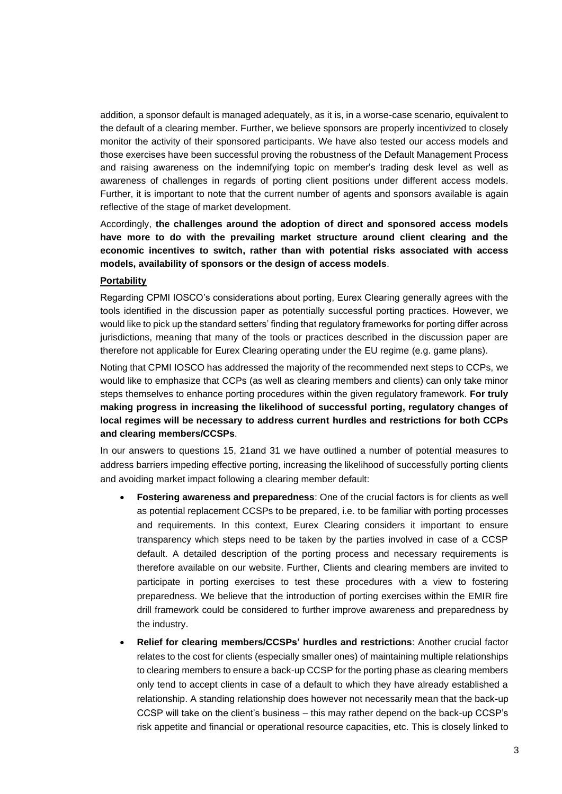addition, a sponsor default is managed adequately, as it is, in a worse-case scenario, equivalent to the default of a clearing member. Further, we believe sponsors are properly incentivized to closely monitor the activity of their sponsored participants. We have also tested our access models and those exercises have been successful proving the robustness of the Default Management Process and raising awareness on the indemnifying topic on member's trading desk level as well as awareness of challenges in regards of porting client positions under different access models. Further, it is important to note that the current number of agents and sponsors available is again reflective of the stage of market development.

Accordingly, **the challenges around the adoption of direct and sponsored access models have more to do with the prevailing market structure around client clearing and the economic incentives to switch, rather than with potential risks associated with access models, availability of sponsors or the design of access models**.

#### **Portability**

Regarding CPMI IOSCO's considerations about porting, Eurex Clearing generally agrees with the tools identified in the discussion paper as potentially successful porting practices. However, we would like to pick up the standard setters' finding that regulatory frameworks for porting differ across jurisdictions, meaning that many of the tools or practices described in the discussion paper are therefore not applicable for Eurex Clearing operating under the EU regime (e.g. game plans).

Noting that CPMI IOSCO has addressed the majority of the recommended next steps to CCPs, we would like to emphasize that CCPs (as well as clearing members and clients) can only take minor steps themselves to enhance porting procedures within the given regulatory framework. **For truly making progress in increasing the likelihood of successful porting, regulatory changes of local regimes will be necessary to address current hurdles and restrictions for both CCPs and clearing members/CCSPs**.

In our answers to questions 15, 21and 31 we have outlined a number of potential measures to address barriers impeding effective porting, increasing the likelihood of successfully porting clients and avoiding market impact following a clearing member default:

- **Fostering awareness and preparedness**: One of the crucial factors is for clients as well as potential replacement CCSPs to be prepared, i.e. to be familiar with porting processes and requirements. In this context, Eurex Clearing considers it important to ensure transparency which steps need to be taken by the parties involved in case of a CCSP default. A detailed description of the porting process and necessary requirements is therefore available on our website. Further, Clients and clearing members are invited to participate in porting exercises to test these procedures with a view to fostering preparedness. We believe that the introduction of porting exercises within the EMIR fire drill framework could be considered to further improve awareness and preparedness by the industry.
- **Relief for clearing members/CCSPs' hurdles and restrictions**: Another crucial factor relates to the cost for clients (especially smaller ones) of maintaining multiple relationships to clearing members to ensure a back-up CCSP for the porting phase as clearing members only tend to accept clients in case of a default to which they have already established a relationship. A standing relationship does however not necessarily mean that the back-up CCSP will take on the client's business – this may rather depend on the back-up CCSP's risk appetite and financial or operational resource capacities, etc. This is closely linked to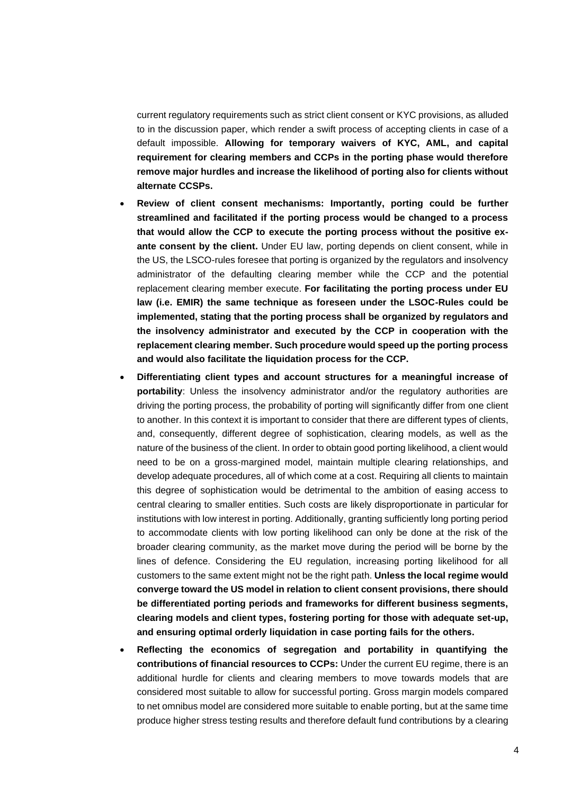current regulatory requirements such as strict client consent or KYC provisions, as alluded to in the discussion paper, which render a swift process of accepting clients in case of a default impossible. **Allowing for temporary waivers of KYC, AML, and capital requirement for clearing members and CCPs in the porting phase would therefore remove major hurdles and increase the likelihood of porting also for clients without alternate CCSPs.** 

- **Review of client consent mechanisms: Importantly, porting could be further streamlined and facilitated if the porting process would be changed to a process that would allow the CCP to execute the porting process without the positive exante consent by the client.** Under EU law, porting depends on client consent, while in the US, the LSCO-rules foresee that porting is organized by the regulators and insolvency administrator of the defaulting clearing member while the CCP and the potential replacement clearing member execute. **For facilitating the porting process under EU law (i.e. EMIR) the same technique as foreseen under the LSOC-Rules could be implemented, stating that the porting process shall be organized by regulators and the insolvency administrator and executed by the CCP in cooperation with the replacement clearing member. Such procedure would speed up the porting process and would also facilitate the liquidation process for the CCP.**
- **Differentiating client types and account structures for a meaningful increase of portability**: Unless the insolvency administrator and/or the regulatory authorities are driving the porting process, the probability of porting will significantly differ from one client to another. In this context it is important to consider that there are different types of clients, and, consequently, different degree of sophistication, clearing models, as well as the nature of the business of the client. In order to obtain good porting likelihood, a client would need to be on a gross-margined model, maintain multiple clearing relationships, and develop adequate procedures, all of which come at a cost. Requiring all clients to maintain this degree of sophistication would be detrimental to the ambition of easing access to central clearing to smaller entities. Such costs are likely disproportionate in particular for institutions with low interest in porting. Additionally, granting sufficiently long porting period to accommodate clients with low porting likelihood can only be done at the risk of the broader clearing community, as the market move during the period will be borne by the lines of defence. Considering the EU regulation, increasing porting likelihood for all customers to the same extent might not be the right path. **Unless the local regime would converge toward the US model in relation to client consent provisions, there should be differentiated porting periods and frameworks for different business segments, clearing models and client types, fostering porting for those with adequate set-up, and ensuring optimal orderly liquidation in case porting fails for the others.**
- **Reflecting the economics of segregation and portability in quantifying the contributions of financial resources to CCPs:** Under the current EU regime, there is an additional hurdle for clients and clearing members to move towards models that are considered most suitable to allow for successful porting. Gross margin models compared to net omnibus model are considered more suitable to enable porting, but at the same time produce higher stress testing results and therefore default fund contributions by a clearing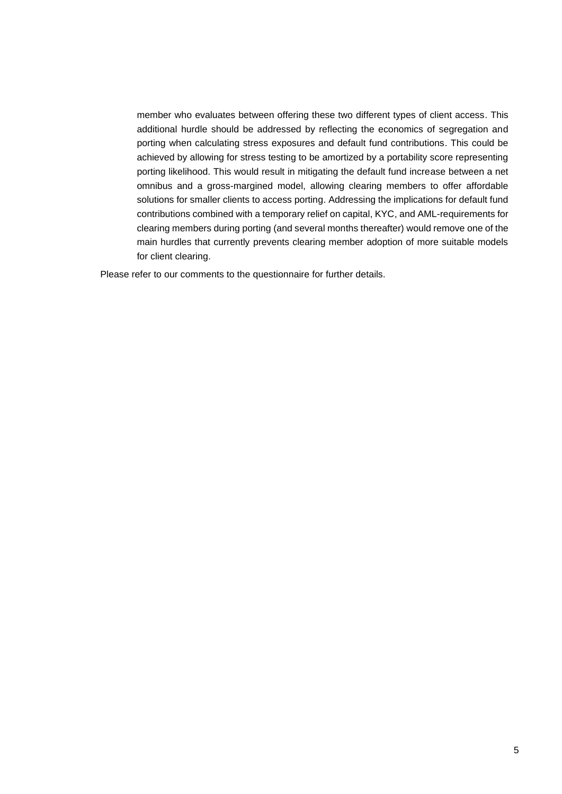member who evaluates between offering these two different types of client access. This additional hurdle should be addressed by reflecting the economics of segregation and porting when calculating stress exposures and default fund contributions. This could be achieved by allowing for stress testing to be amortized by a portability score representing porting likelihood. This would result in mitigating the default fund increase between a net omnibus and a gross-margined model, allowing clearing members to offer affordable solutions for smaller clients to access porting. Addressing the implications for default fund contributions combined with a temporary relief on capital, KYC, and AML-requirements for clearing members during porting (and several months thereafter) would remove one of the main hurdles that currently prevents clearing member adoption of more suitable models for client clearing.

Please refer to our comments to the questionnaire for further details.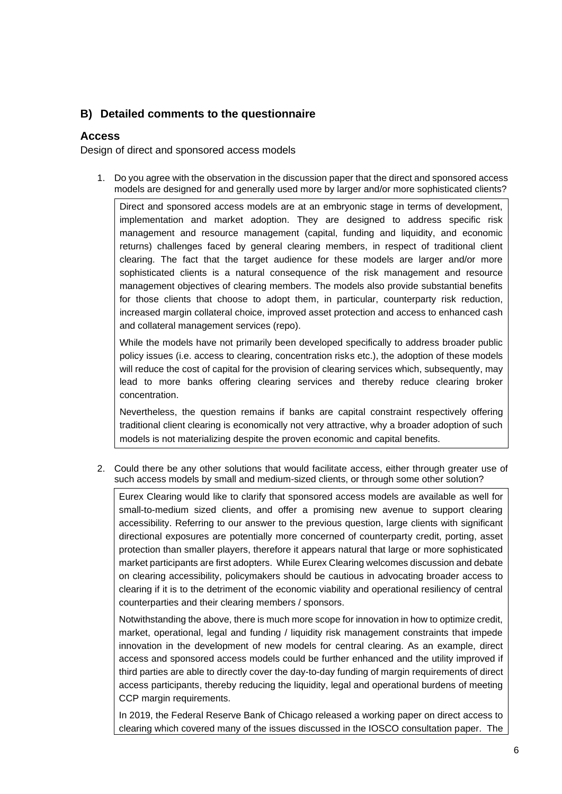# **B) Detailed comments to the questionnaire**

## **Access**

Design of direct and sponsored access models

1. Do you agree with the observation in the discussion paper that the direct and sponsored access models are designed for and generally used more by larger and/or more sophisticated clients?

Direct and sponsored access models are at an embryonic stage in terms of development, implementation and market adoption. They are designed to address specific risk management and resource management (capital, funding and liquidity, and economic returns) challenges faced by general clearing members, in respect of traditional client clearing. The fact that the target audience for these models are larger and/or more sophisticated clients is a natural consequence of the risk management and resource management objectives of clearing members. The models also provide substantial benefits for those clients that choose to adopt them, in particular, counterparty risk reduction, increased margin collateral choice, improved asset protection and access to enhanced cash and collateral management services (repo).

While the models have not primarily been developed specifically to address broader public policy issues (i.e. access to clearing, concentration risks etc.), the adoption of these models will reduce the cost of capital for the provision of clearing services which, subsequently, may lead to more banks offering clearing services and thereby reduce clearing broker concentration.

Nevertheless, the question remains if banks are capital constraint respectively offering traditional client clearing is economically not very attractive, why a broader adoption of such models is not materializing despite the proven economic and capital benefits.

2. Could there be any other solutions that would facilitate access, either through greater use of such access models by small and medium-sized clients, or through some other solution?

Eurex Clearing would like to clarify that sponsored access models are available as well for small-to-medium sized clients, and offer a promising new avenue to support clearing accessibility. Referring to our answer to the previous question, large clients with significant directional exposures are potentially more concerned of counterparty credit, porting, asset protection than smaller players, therefore it appears natural that large or more sophisticated market participants are first adopters. While Eurex Clearing welcomes discussion and debate on clearing accessibility, policymakers should be cautious in advocating broader access to clearing if it is to the detriment of the economic viability and operational resiliency of central counterparties and their clearing members / sponsors.

Notwithstanding the above, there is much more scope for innovation in how to optimize credit, market, operational, legal and funding / liquidity risk management constraints that impede innovation in the development of new models for central clearing. As an example, direct access and sponsored access models could be further enhanced and the utility improved if third parties are able to directly cover the day-to-day funding of margin requirements of direct access participants, thereby reducing the liquidity, legal and operational burdens of meeting CCP margin requirements.

In 2019, the Federal Reserve Bank of Chicago released a working paper on direct access to clearing which covered many of the issues discussed in the IOSCO consultation paper. The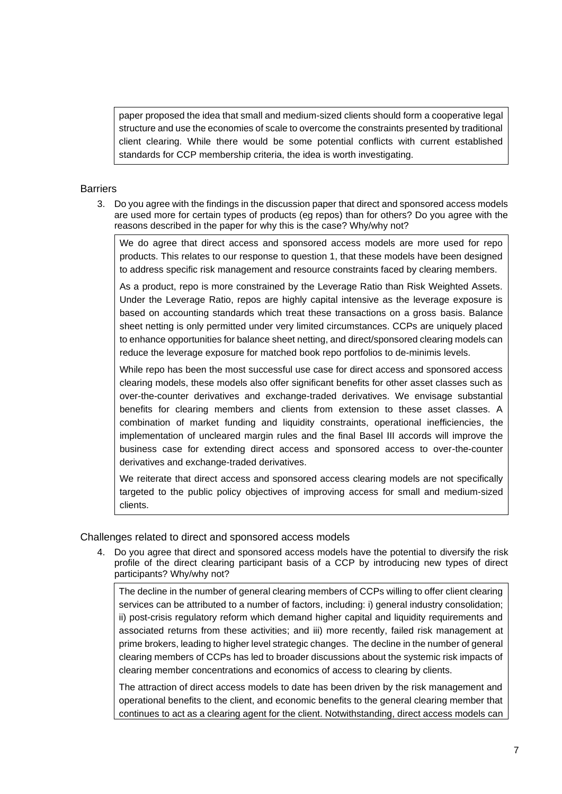paper proposed the idea that small and medium-sized clients should form a cooperative legal structure and use the economies of scale to overcome the constraints presented by traditional client clearing. While there would be some potential conflicts with current established standards for CCP membership criteria, the idea is worth investigating.

### **Barriers**

3. Do you agree with the findings in the discussion paper that direct and sponsored access models are used more for certain types of products (eg repos) than for others? Do you agree with the reasons described in the paper for why this is the case? Why/why not?

We do agree that direct access and sponsored access models are more used for repo products. This relates to our response to question 1, that these models have been designed to address specific risk management and resource constraints faced by clearing members.

As a product, repo is more constrained by the Leverage Ratio than Risk Weighted Assets. Under the Leverage Ratio, repos are highly capital intensive as the leverage exposure is based on accounting standards which treat these transactions on a gross basis. Balance sheet netting is only permitted under very limited circumstances. CCPs are uniquely placed to enhance opportunities for balance sheet netting, and direct/sponsored clearing models can reduce the leverage exposure for matched book repo portfolios to de-minimis levels.

While repo has been the most successful use case for direct access and sponsored access clearing models, these models also offer significant benefits for other asset classes such as over-the-counter derivatives and exchange-traded derivatives. We envisage substantial benefits for clearing members and clients from extension to these asset classes. A combination of market funding and liquidity constraints, operational inefficiencies, the implementation of uncleared margin rules and the final Basel III accords will improve the business case for extending direct access and sponsored access to over-the-counter derivatives and exchange-traded derivatives.

We reiterate that direct access and sponsored access clearing models are not specifically targeted to the public policy objectives of improving access for small and medium-sized clients.

Challenges related to direct and sponsored access models

4. Do you agree that direct and sponsored access models have the potential to diversify the risk profile of the direct clearing participant basis of a CCP by introducing new types of direct participants? Why/why not?

The decline in the number of general clearing members of CCPs willing to offer client clearing services can be attributed to a number of factors, including: i) general industry consolidation; ii) post-crisis regulatory reform which demand higher capital and liquidity requirements and associated returns from these activities; and iii) more recently, failed risk management at prime brokers, leading to higher level strategic changes. The decline in the number of general clearing members of CCPs has led to broader discussions about the systemic risk impacts of clearing member concentrations and economics of access to clearing by clients.

The attraction of direct access models to date has been driven by the risk management and operational benefits to the client, and economic benefits to the general clearing member that continues to act as a clearing agent for the client. Notwithstanding, direct access models can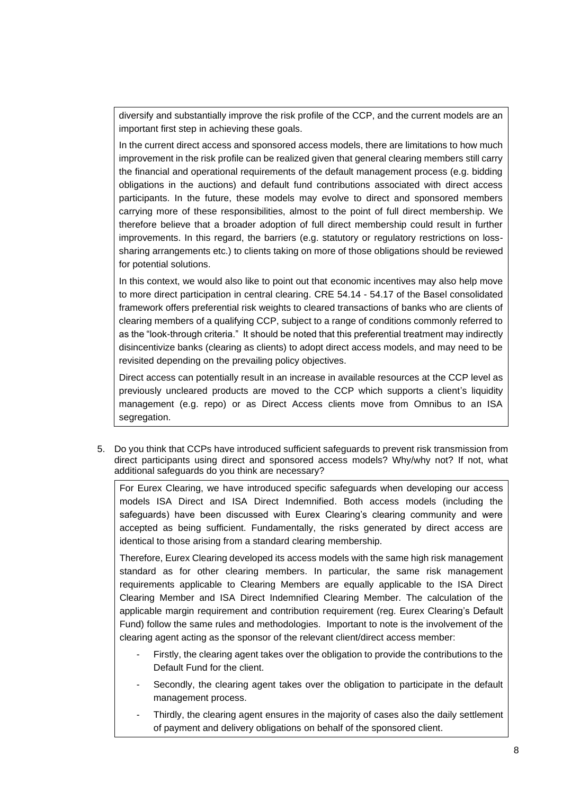diversify and substantially improve the risk profile of the CCP, and the current models are an important first step in achieving these goals.

In the current direct access and sponsored access models, there are limitations to how much improvement in the risk profile can be realized given that general clearing members still carry the financial and operational requirements of the default management process (e.g. bidding obligations in the auctions) and default fund contributions associated with direct access participants. In the future, these models may evolve to direct and sponsored members carrying more of these responsibilities, almost to the point of full direct membership. We therefore believe that a broader adoption of full direct membership could result in further improvements. In this regard, the barriers (e.g. statutory or regulatory restrictions on losssharing arrangements etc.) to clients taking on more of those obligations should be reviewed for potential solutions.

In this context, we would also like to point out that economic incentives may also help move to more direct participation in central clearing. CRE 54.14 - 54.17 of the Basel consolidated framework offers preferential risk weights to cleared transactions of banks who are clients of clearing members of a qualifying CCP, subject to a range of conditions commonly referred to as the "look-through criteria." It should be noted that this preferential treatment may indirectly disincentivize banks (clearing as clients) to adopt direct access models, and may need to be revisited depending on the prevailing policy objectives.

Direct access can potentially result in an increase in available resources at the CCP level as previously uncleared products are moved to the CCP which supports a client's liquidity management (e.g. repo) or as Direct Access clients move from Omnibus to an ISA segregation.

5. Do you think that CCPs have introduced sufficient safeguards to prevent risk transmission from direct participants using direct and sponsored access models? Why/why not? If not, what additional safeguards do you think are necessary?

For Eurex Clearing, we have introduced specific safeguards when developing our access models ISA Direct and ISA Direct Indemnified. Both access models (including the safeguards) have been discussed with Eurex Clearing's clearing community and were accepted as being sufficient. Fundamentally, the risks generated by direct access are identical to those arising from a standard clearing membership.

Therefore, Eurex Clearing developed its access models with the same high risk management standard as for other clearing members. In particular, the same risk management requirements applicable to Clearing Members are equally applicable to the ISA Direct Clearing Member and ISA Direct Indemnified Clearing Member. The calculation of the applicable margin requirement and contribution requirement (reg. Eurex Clearing's Default Fund) follow the same rules and methodologies. Important to note is the involvement of the clearing agent acting as the sponsor of the relevant client/direct access member:

- Firstly, the clearing agent takes over the obligation to provide the contributions to the Default Fund for the client.
- Secondly, the clearing agent takes over the obligation to participate in the default management process.
- Thirdly, the clearing agent ensures in the majority of cases also the daily settlement of payment and delivery obligations on behalf of the sponsored client.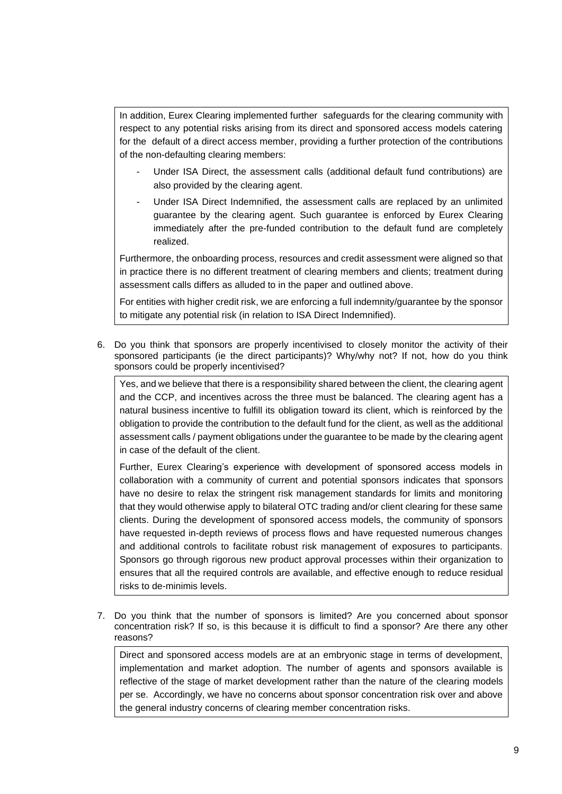In addition, Eurex Clearing implemented further safeguards for the clearing community with respect to any potential risks arising from its direct and sponsored access models catering for the default of a direct access member, providing a further protection of the contributions of the non-defaulting clearing members:

- Under ISA Direct, the assessment calls (additional default fund contributions) are also provided by the clearing agent.
- Under ISA Direct Indemnified, the assessment calls are replaced by an unlimited guarantee by the clearing agent. Such guarantee is enforced by Eurex Clearing immediately after the pre-funded contribution to the default fund are completely realized.

Furthermore, the onboarding process, resources and credit assessment were aligned so that in practice there is no different treatment of clearing members and clients; treatment during assessment calls differs as alluded to in the paper and outlined above.

For entities with higher credit risk, we are enforcing a full indemnity/guarantee by the sponsor to mitigate any potential risk (in relation to ISA Direct Indemnified).

6. Do you think that sponsors are properly incentivised to closely monitor the activity of their sponsored participants (ie the direct participants)? Why/why not? If not, how do you think sponsors could be properly incentivised?

Yes, and we believe that there is a responsibility shared between the client, the clearing agent and the CCP, and incentives across the three must be balanced. The clearing agent has a natural business incentive to fulfill its obligation toward its client, which is reinforced by the obligation to provide the contribution to the default fund for the client, as well as the additional assessment calls / payment obligations under the guarantee to be made by the clearing agent in case of the default of the client.

Further, Eurex Clearing's experience with development of sponsored access models in collaboration with a community of current and potential sponsors indicates that sponsors have no desire to relax the stringent risk management standards for limits and monitoring that they would otherwise apply to bilateral OTC trading and/or client clearing for these same clients. During the development of sponsored access models, the community of sponsors have requested in-depth reviews of process flows and have requested numerous changes and additional controls to facilitate robust risk management of exposures to participants. Sponsors go through rigorous new product approval processes within their organization to ensures that all the required controls are available, and effective enough to reduce residual risks to de-minimis levels.

7. Do you think that the number of sponsors is limited? Are you concerned about sponsor concentration risk? If so, is this because it is difficult to find a sponsor? Are there any other reasons?

Direct and sponsored access models are at an embryonic stage in terms of development, implementation and market adoption. The number of agents and sponsors available is reflective of the stage of market development rather than the nature of the clearing models per se. Accordingly, we have no concerns about sponsor concentration risk over and above the general industry concerns of clearing member concentration risks.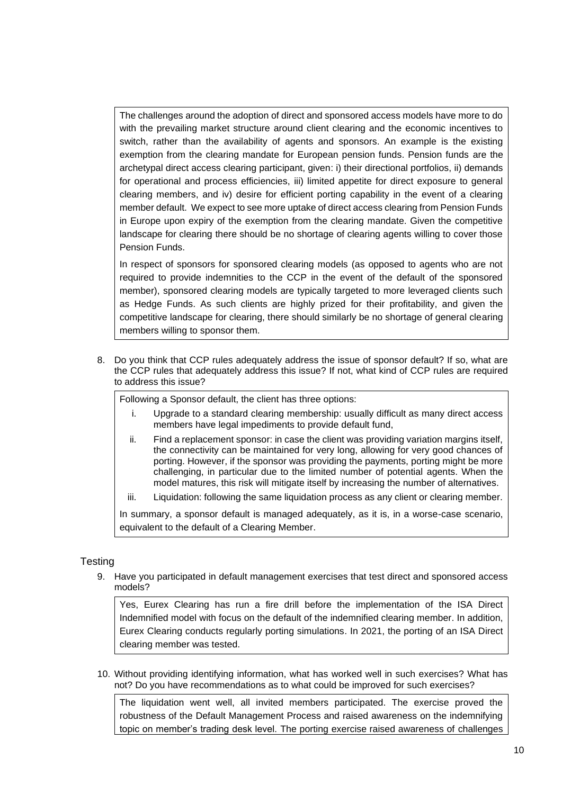The challenges around the adoption of direct and sponsored access models have more to do with the prevailing market structure around client clearing and the economic incentives to switch, rather than the availability of agents and sponsors. An example is the existing exemption from the clearing mandate for European pension funds. Pension funds are the archetypal direct access clearing participant, given: i) their directional portfolios, ii) demands for operational and process efficiencies, iii) limited appetite for direct exposure to general clearing members, and iv) desire for efficient porting capability in the event of a clearing member default. We expect to see more uptake of direct access clearing from Pension Funds in Europe upon expiry of the exemption from the clearing mandate. Given the competitive landscape for clearing there should be no shortage of clearing agents willing to cover those Pension Funds.

In respect of sponsors for sponsored clearing models (as opposed to agents who are not required to provide indemnities to the CCP in the event of the default of the sponsored member), sponsored clearing models are typically targeted to more leveraged clients such as Hedge Funds. As such clients are highly prized for their profitability, and given the competitive landscape for clearing, there should similarly be no shortage of general clearing members willing to sponsor them.

8. Do you think that CCP rules adequately address the issue of sponsor default? If so, what are the CCP rules that adequately address this issue? If not, what kind of CCP rules are required to address this issue?

Following a Sponsor default, the client has three options:

- i. Upgrade to a standard clearing membership: usually difficult as many direct access members have legal impediments to provide default fund,
- ii. Find a replacement sponsor: in case the client was providing variation margins itself, the connectivity can be maintained for very long, allowing for very good chances of porting. However, if the sponsor was providing the payments, porting might be more challenging, in particular due to the limited number of potential agents. When the model matures, this risk will mitigate itself by increasing the number of alternatives.
- iii. Liquidation: following the same liquidation process as any client or clearing member.

In summary, a sponsor default is managed adequately, as it is, in a worse-case scenario, equivalent to the default of a Clearing Member.

#### **Testing**

9. Have you participated in default management exercises that test direct and sponsored access models?

Yes, Eurex Clearing has run a fire drill before the implementation of the ISA Direct Indemnified model with focus on the default of the indemnified clearing member. In addition, Eurex Clearing conducts regularly porting simulations. In 2021, the porting of an ISA Direct clearing member was tested.

10. Without providing identifying information, what has worked well in such exercises? What has not? Do you have recommendations as to what could be improved for such exercises?

The liquidation went well, all invited members participated. The exercise proved the robustness of the Default Management Process and raised awareness on the indemnifying topic on member's trading desk level. The porting exercise raised awareness of challenges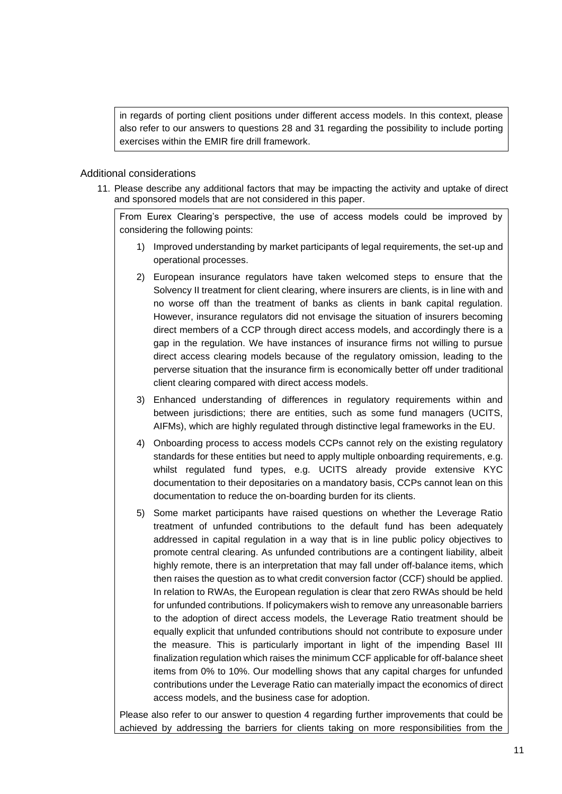in regards of porting client positions under different access models. In this context, please also refer to our answers to questions 28 and 31 regarding the possibility to include porting exercises within the EMIR fire drill framework.

#### Additional considerations

11. Please describe any additional factors that may be impacting the activity and uptake of direct and sponsored models that are not considered in this paper.

From Eurex Clearing's perspective, the use of access models could be improved by considering the following points:

- 1) Improved understanding by market participants of legal requirements, the set-up and operational processes.
- 2) European insurance regulators have taken welcomed steps to ensure that the Solvency II treatment for client clearing, where insurers are clients, is in line with and no worse off than the treatment of banks as clients in bank capital regulation. However, insurance regulators did not envisage the situation of insurers becoming direct members of a CCP through direct access models, and accordingly there is a gap in the regulation. We have instances of insurance firms not willing to pursue direct access clearing models because of the regulatory omission, leading to the perverse situation that the insurance firm is economically better off under traditional client clearing compared with direct access models.
- 3) Enhanced understanding of differences in regulatory requirements within and between jurisdictions; there are entities, such as some fund managers (UCITS, AIFMs), which are highly regulated through distinctive legal frameworks in the EU.
- 4) Onboarding process to access models CCPs cannot rely on the existing regulatory standards for these entities but need to apply multiple onboarding requirements, e.g. whilst regulated fund types, e.g. UCITS already provide extensive KYC documentation to their depositaries on a mandatory basis, CCPs cannot lean on this documentation to reduce the on-boarding burden for its clients.
- 5) Some market participants have raised questions on whether the Leverage Ratio treatment of unfunded contributions to the default fund has been adequately addressed in capital regulation in a way that is in line public policy objectives to promote central clearing. As unfunded contributions are a contingent liability, albeit highly remote, there is an interpretation that may fall under off-balance items, which then raises the question as to what credit conversion factor (CCF) should be applied. In relation to RWAs, the European regulation is clear that zero RWAs should be held for unfunded contributions. If policymakers wish to remove any unreasonable barriers to the adoption of direct access models, the Leverage Ratio treatment should be equally explicit that unfunded contributions should not contribute to exposure under the measure. This is particularly important in light of the impending Basel III finalization regulation which raises the minimum CCF applicable for off-balance sheet items from 0% to 10%. Our modelling shows that any capital charges for unfunded contributions under the Leverage Ratio can materially impact the economics of direct access models, and the business case for adoption.

Please also refer to our answer to question 4 regarding further improvements that could be achieved by addressing the barriers for clients taking on more responsibilities from the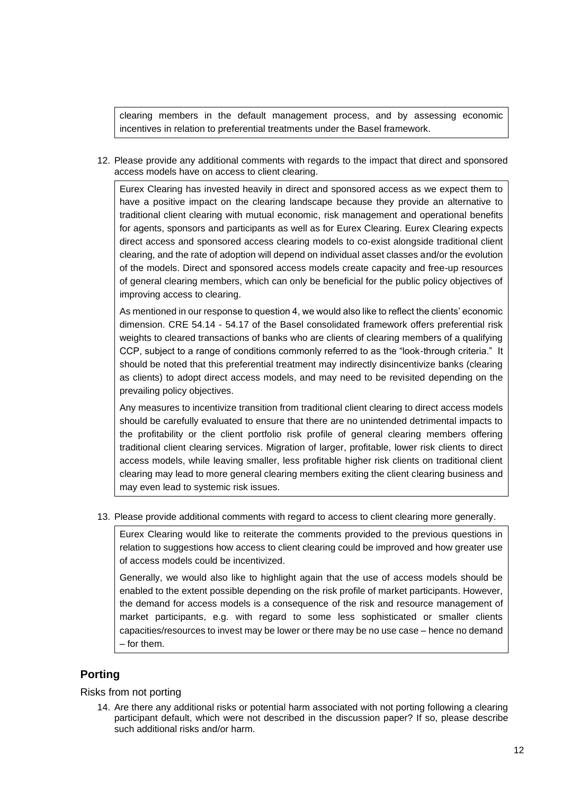clearing members in the default management process, and by assessing economic incentives in relation to preferential treatments under the Basel framework.

12. Please provide any additional comments with regards to the impact that direct and sponsored access models have on access to client clearing.

Eurex Clearing has invested heavily in direct and sponsored access as we expect them to have a positive impact on the clearing landscape because they provide an alternative to traditional client clearing with mutual economic, risk management and operational benefits for agents, sponsors and participants as well as for Eurex Clearing. Eurex Clearing expects direct access and sponsored access clearing models to co-exist alongside traditional client clearing, and the rate of adoption will depend on individual asset classes and/or the evolution of the models. Direct and sponsored access models create capacity and free-up resources of general clearing members, which can only be beneficial for the public policy objectives of improving access to clearing.

As mentioned in our response to question 4, we would also like to reflect the clients' economic dimension. CRE 54.14 - 54.17 of the Basel consolidated framework offers preferential risk weights to cleared transactions of banks who are clients of clearing members of a qualifying CCP, subject to a range of conditions commonly referred to as the "look-through criteria." It should be noted that this preferential treatment may indirectly disincentivize banks (clearing as clients) to adopt direct access models, and may need to be revisited depending on the prevailing policy objectives.

Any measures to incentivize transition from traditional client clearing to direct access models should be carefully evaluated to ensure that there are no unintended detrimental impacts to the profitability or the client portfolio risk profile of general clearing members offering traditional client clearing services. Migration of larger, profitable, lower risk clients to direct access models, while leaving smaller, less profitable higher risk clients on traditional client clearing may lead to more general clearing members exiting the client clearing business and may even lead to systemic risk issues.

13. Please provide additional comments with regard to access to client clearing more generally.

Eurex Clearing would like to reiterate the comments provided to the previous questions in relation to suggestions how access to client clearing could be improved and how greater use of access models could be incentivized.

Generally, we would also like to highlight again that the use of access models should be enabled to the extent possible depending on the risk profile of market participants. However, the demand for access models is a consequence of the risk and resource management of market participants, e.g. with regard to some less sophisticated or smaller clients capacities/resources to invest may be lower or there may be no use case – hence no demand – for them.

# **Porting**

#### Risks from not porting

14. Are there any additional risks or potential harm associated with not porting following a clearing participant default, which were not described in the discussion paper? If so, please describe such additional risks and/or harm.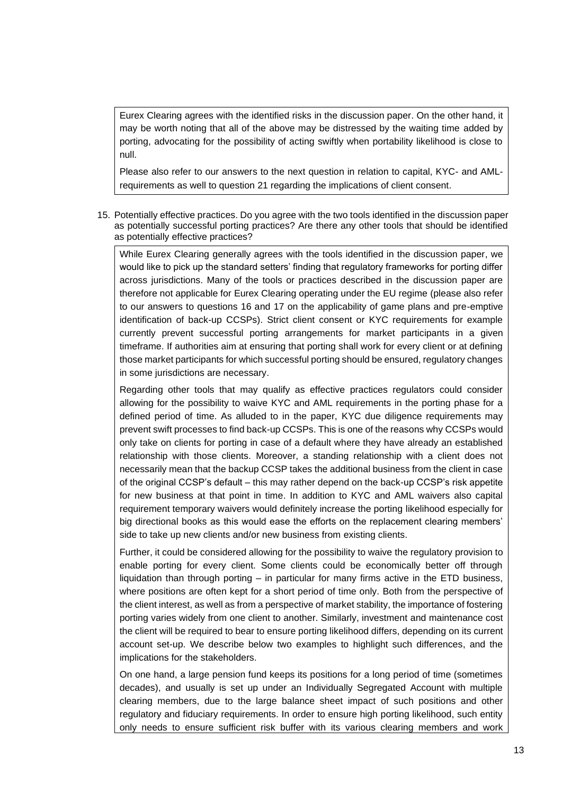Eurex Clearing agrees with the identified risks in the discussion paper. On the other hand, it may be worth noting that all of the above may be distressed by the waiting time added by porting, advocating for the possibility of acting swiftly when portability likelihood is close to null.

Please also refer to our answers to the next question in relation to capital, KYC- and AMLrequirements as well to question 21 regarding the implications of client consent.

15. Potentially effective practices. Do you agree with the two tools identified in the discussion paper as potentially successful porting practices? Are there any other tools that should be identified as potentially effective practices?

While Eurex Clearing generally agrees with the tools identified in the discussion paper, we would like to pick up the standard setters' finding that regulatory frameworks for porting differ across jurisdictions. Many of the tools or practices described in the discussion paper are therefore not applicable for Eurex Clearing operating under the EU regime (please also refer to our answers to questions 16 and 17 on the applicability of game plans and pre-emptive identification of back-up CCSPs). Strict client consent or KYC requirements for example currently prevent successful porting arrangements for market participants in a given timeframe. If authorities aim at ensuring that porting shall work for every client or at defining those market participants for which successful porting should be ensured, regulatory changes in some jurisdictions are necessary.

Regarding other tools that may qualify as effective practices regulators could consider allowing for the possibility to waive KYC and AML requirements in the porting phase for a defined period of time. As alluded to in the paper, KYC due diligence requirements may prevent swift processes to find back-up CCSPs. This is one of the reasons why CCSPs would only take on clients for porting in case of a default where they have already an established relationship with those clients. Moreover, a standing relationship with a client does not necessarily mean that the backup CCSP takes the additional business from the client in case of the original CCSP's default – this may rather depend on the back-up CCSP's risk appetite for new business at that point in time. In addition to KYC and AML waivers also capital requirement temporary waivers would definitely increase the porting likelihood especially for big directional books as this would ease the efforts on the replacement clearing members' side to take up new clients and/or new business from existing clients.

Further, it could be considered allowing for the possibility to waive the regulatory provision to enable porting for every client. Some clients could be economically better off through liquidation than through porting – in particular for many firms active in the ETD business, where positions are often kept for a short period of time only. Both from the perspective of the client interest, as well as from a perspective of market stability, the importance of fostering porting varies widely from one client to another. Similarly, investment and maintenance cost the client will be required to bear to ensure porting likelihood differs, depending on its current account set-up. We describe below two examples to highlight such differences, and the implications for the stakeholders.

On one hand, a large pension fund keeps its positions for a long period of time (sometimes decades), and usually is set up under an Individually Segregated Account with multiple clearing members, due to the large balance sheet impact of such positions and other regulatory and fiduciary requirements. In order to ensure high porting likelihood, such entity only needs to ensure sufficient risk buffer with its various clearing members and work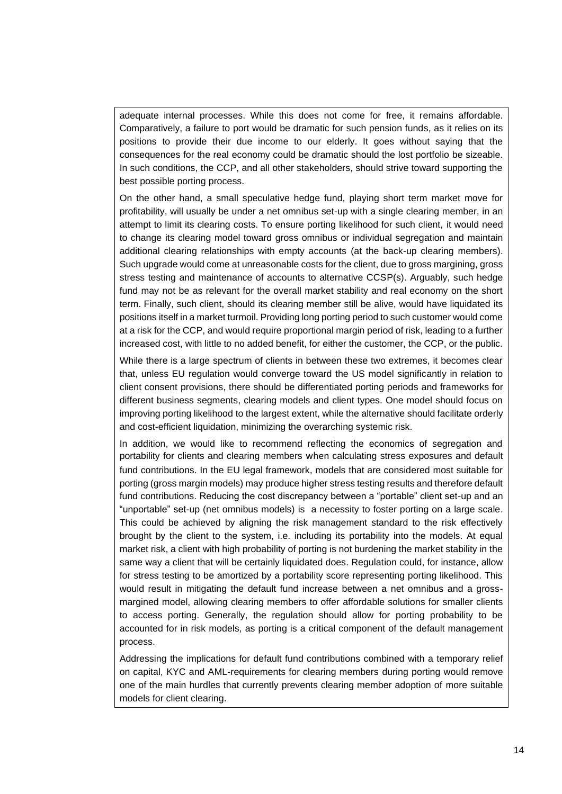adequate internal processes. While this does not come for free, it remains affordable. Comparatively, a failure to port would be dramatic for such pension funds, as it relies on its positions to provide their due income to our elderly. It goes without saying that the consequences for the real economy could be dramatic should the lost portfolio be sizeable. In such conditions, the CCP, and all other stakeholders, should strive toward supporting the best possible porting process.

On the other hand, a small speculative hedge fund, playing short term market move for profitability, will usually be under a net omnibus set-up with a single clearing member, in an attempt to limit its clearing costs. To ensure porting likelihood for such client, it would need to change its clearing model toward gross omnibus or individual segregation and maintain additional clearing relationships with empty accounts (at the back-up clearing members). Such upgrade would come at unreasonable costs for the client, due to gross margining, gross stress testing and maintenance of accounts to alternative CCSP(s). Arguably, such hedge fund may not be as relevant for the overall market stability and real economy on the short term. Finally, such client, should its clearing member still be alive, would have liquidated its positions itself in a market turmoil. Providing long porting period to such customer would come at a risk for the CCP, and would require proportional margin period of risk, leading to a further increased cost, with little to no added benefit, for either the customer, the CCP, or the public.

While there is a large spectrum of clients in between these two extremes, it becomes clear that, unless EU regulation would converge toward the US model significantly in relation to client consent provisions, there should be differentiated porting periods and frameworks for different business segments, clearing models and client types. One model should focus on improving porting likelihood to the largest extent, while the alternative should facilitate orderly and cost-efficient liquidation, minimizing the overarching systemic risk.

In addition, we would like to recommend reflecting the economics of segregation and portability for clients and clearing members when calculating stress exposures and default fund contributions. In the EU legal framework, models that are considered most suitable for porting (gross margin models) may produce higher stress testing results and therefore default fund contributions. Reducing the cost discrepancy between a "portable" client set-up and an "unportable" set-up (net omnibus models) is a necessity to foster porting on a large scale. This could be achieved by aligning the risk management standard to the risk effectively brought by the client to the system, i.e. including its portability into the models. At equal market risk, a client with high probability of porting is not burdening the market stability in the same way a client that will be certainly liquidated does. Regulation could, for instance, allow for stress testing to be amortized by a portability score representing porting likelihood. This would result in mitigating the default fund increase between a net omnibus and a grossmargined model, allowing clearing members to offer affordable solutions for smaller clients to access porting. Generally, the regulation should allow for porting probability to be accounted for in risk models, as porting is a critical component of the default management process.

Addressing the implications for default fund contributions combined with a temporary relief on capital, KYC and AML-requirements for clearing members during porting would remove one of the main hurdles that currently prevents clearing member adoption of more suitable models for client clearing.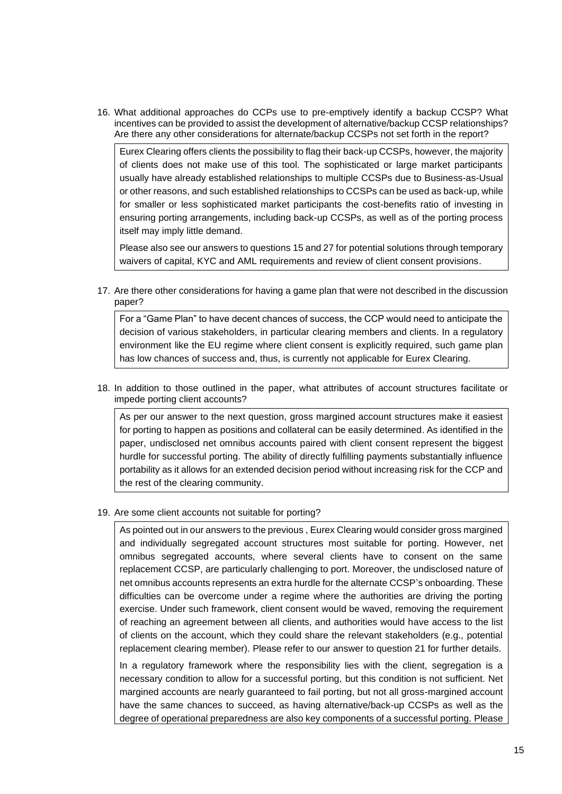16. What additional approaches do CCPs use to pre-emptively identify a backup CCSP? What incentives can be provided to assist the development of alternative/backup CCSP relationships? Are there any other considerations for alternate/backup CCSPs not set forth in the report?

Eurex Clearing offers clients the possibility to flag their back-up CCSPs, however, the majority of clients does not make use of this tool. The sophisticated or large market participants usually have already established relationships to multiple CCSPs due to Business-as-Usual or other reasons, and such established relationships to CCSPs can be used as back-up, while for smaller or less sophisticated market participants the cost-benefits ratio of investing in ensuring porting arrangements, including back-up CCSPs, as well as of the porting process itself may imply little demand.

Please also see our answers to questions 15 and 27 for potential solutions through temporary waivers of capital, KYC and AML requirements and review of client consent provisions.

17. Are there other considerations for having a game plan that were not described in the discussion paper?

For a "Game Plan" to have decent chances of success, the CCP would need to anticipate the decision of various stakeholders, in particular clearing members and clients. In a regulatory environment like the EU regime where client consent is explicitly required, such game plan has low chances of success and, thus, is currently not applicable for Eurex Clearing.

18. In addition to those outlined in the paper, what attributes of account structures facilitate or impede porting client accounts?

As per our answer to the next question, gross margined account structures make it easiest for porting to happen as positions and collateral can be easily determined. As identified in the paper, undisclosed net omnibus accounts paired with client consent represent the biggest hurdle for successful porting. The ability of directly fulfilling payments substantially influence portability as it allows for an extended decision period without increasing risk for the CCP and the rest of the clearing community.

19. Are some client accounts not suitable for porting?

As pointed out in our answers to the previous , Eurex Clearing would consider gross margined and individually segregated account structures most suitable for porting. However, net omnibus segregated accounts, where several clients have to consent on the same replacement CCSP, are particularly challenging to port. Moreover, the undisclosed nature of net omnibus accounts represents an extra hurdle for the alternate CCSP's onboarding. These difficulties can be overcome under a regime where the authorities are driving the porting exercise. Under such framework, client consent would be waved, removing the requirement of reaching an agreement between all clients, and authorities would have access to the list of clients on the account, which they could share the relevant stakeholders (e.g., potential replacement clearing member). Please refer to our answer to question 21 for further details.

In a regulatory framework where the responsibility lies with the client, segregation is a necessary condition to allow for a successful porting, but this condition is not sufficient. Net margined accounts are nearly guaranteed to fail porting, but not all gross-margined account have the same chances to succeed, as having alternative/back-up CCSPs as well as the degree of operational preparedness are also key components of a successful porting. Please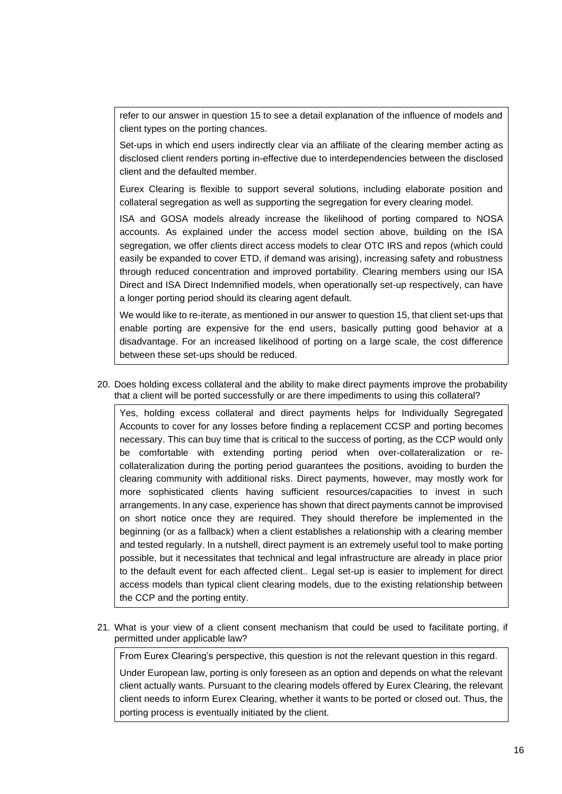refer to our answer in question 15 to see a detail explanation of the influence of models and client types on the porting chances.

Set-ups in which end users indirectly clear via an affiliate of the clearing member acting as disclosed client renders porting in-effective due to interdependencies between the disclosed client and the defaulted member.

Eurex Clearing is flexible to support several solutions, including elaborate position and collateral segregation as well as supporting the segregation for every clearing model.

ISA and GOSA models already increase the likelihood of porting compared to NOSA accounts. As explained under the access model section above, building on the ISA segregation, we offer clients direct access models to clear OTC IRS and repos (which could easily be expanded to cover ETD, if demand was arising), increasing safety and robustness through reduced concentration and improved portability. Clearing members using our ISA Direct and ISA Direct Indemnified models, when operationally set-up respectively, can have a longer porting period should its clearing agent default.

We would like to re-iterate, as mentioned in our answer to question 15, that client set-ups that enable porting are expensive for the end users, basically putting good behavior at a disadvantage. For an increased likelihood of porting on a large scale, the cost difference between these set-ups should be reduced.

20. Does holding excess collateral and the ability to make direct payments improve the probability that a client will be ported successfully or are there impediments to using this collateral?

Yes, holding excess collateral and direct payments helps for Individually Segregated Accounts to cover for any losses before finding a replacement CCSP and porting becomes necessary. This can buy time that is critical to the success of porting, as the CCP would only be comfortable with extending porting period when over-collateralization or recollateralization during the porting period guarantees the positions, avoiding to burden the clearing community with additional risks. Direct payments, however, may mostly work for more sophisticated clients having sufficient resources/capacities to invest in such arrangements. In any case, experience has shown that direct payments cannot be improvised on short notice once they are required. They should therefore be implemented in the beginning (or as a fallback) when a client establishes a relationship with a clearing member and tested regularly. In a nutshell, direct payment is an extremely useful tool to make porting possible, but it necessitates that technical and legal infrastructure are already in place prior to the default event for each affected client.. Legal set-up is easier to implement for direct access models than typical client clearing models, due to the existing relationship between the CCP and the porting entity.

21. What is your view of a client consent mechanism that could be used to facilitate porting, if permitted under applicable law?

From Eurex Clearing's perspective, this question is not the relevant question in this regard.

Under European law, porting is only foreseen as an option and depends on what the relevant client actually wants. Pursuant to the clearing models offered by Eurex Clearing, the relevant client needs to inform Eurex Clearing, whether it wants to be ported or closed out. Thus, the porting process is eventually initiated by the client.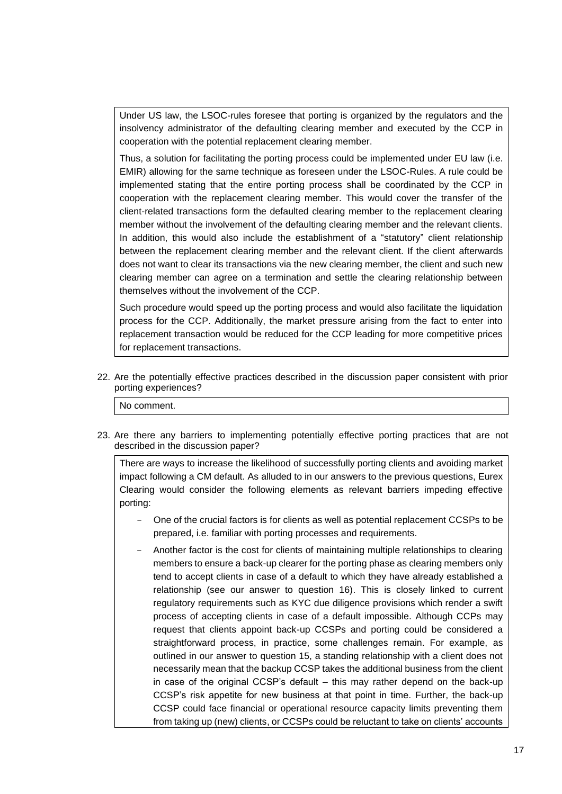Under US law, the LSOC-rules foresee that porting is organized by the regulators and the insolvency administrator of the defaulting clearing member and executed by the CCP in cooperation with the potential replacement clearing member.

Thus, a solution for facilitating the porting process could be implemented under EU law (i.e. EMIR) allowing for the same technique as foreseen under the LSOC-Rules. A rule could be implemented stating that the entire porting process shall be coordinated by the CCP in cooperation with the replacement clearing member. This would cover the transfer of the client-related transactions form the defaulted clearing member to the replacement clearing member without the involvement of the defaulting clearing member and the relevant clients. In addition, this would also include the establishment of a "statutory" client relationship between the replacement clearing member and the relevant client. If the client afterwards does not want to clear its transactions via the new clearing member, the client and such new clearing member can agree on a termination and settle the clearing relationship between themselves without the involvement of the CCP.

Such procedure would speed up the porting process and would also facilitate the liquidation process for the CCP. Additionally, the market pressure arising from the fact to enter into replacement transaction would be reduced for the CCP leading for more competitive prices for replacement transactions.

22. Are the potentially effective practices described in the discussion paper consistent with prior porting experiences?

No comment.

23. Are there any barriers to implementing potentially effective porting practices that are not described in the discussion paper?

There are ways to increase the likelihood of successfully porting clients and avoiding market impact following a CM default. As alluded to in our answers to the previous questions, Eurex Clearing would consider the following elements as relevant barriers impeding effective porting:

- One of the crucial factors is for clients as well as potential replacement CCSPs to be prepared, i.e. familiar with porting processes and requirements.
- Another factor is the cost for clients of maintaining multiple relationships to clearing members to ensure a back-up clearer for the porting phase as clearing members only tend to accept clients in case of a default to which they have already established a relationship (see our answer to question 16). This is closely linked to current regulatory requirements such as KYC due diligence provisions which render a swift process of accepting clients in case of a default impossible. Although CCPs may request that clients appoint back-up CCSPs and porting could be considered a straightforward process, in practice, some challenges remain. For example, as outlined in our answer to question 15, a standing relationship with a client does not necessarily mean that the backup CCSP takes the additional business from the client in case of the original CCSP's default – this may rather depend on the back-up CCSP's risk appetite for new business at that point in time. Further, the back-up CCSP could face financial or operational resource capacity limits preventing them from taking up (new) clients, or CCSPs could be reluctant to take on clients' accounts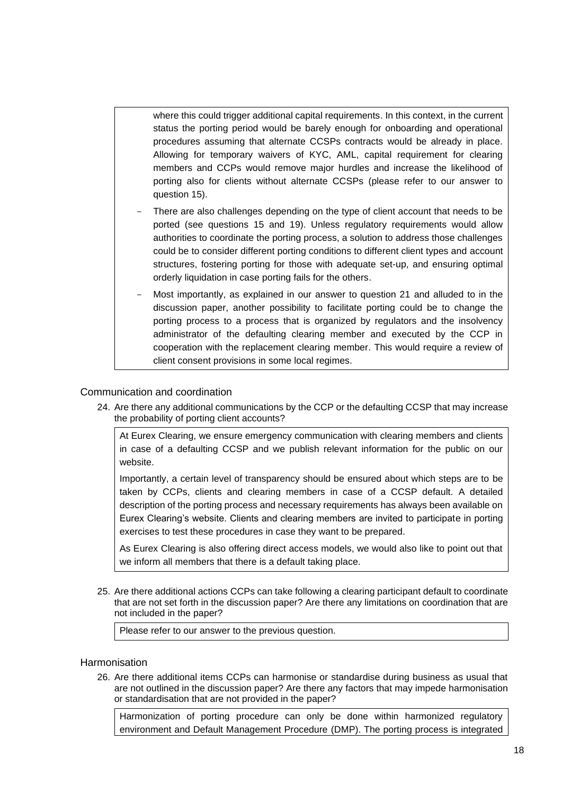where this could trigger additional capital requirements. In this context, in the current status the porting period would be barely enough for onboarding and operational procedures assuming that alternate CCSPs contracts would be already in place. Allowing for temporary waivers of KYC, AML, capital requirement for clearing members and CCPs would remove major hurdles and increase the likelihood of porting also for clients without alternate CCSPs (please refer to our answer to question 15).

- There are also challenges depending on the type of client account that needs to be ported (see questions 15 and 19). Unless regulatory requirements would allow authorities to coordinate the porting process, a solution to address those challenges could be to consider different porting conditions to different client types and account structures, fostering porting for those with adequate set-up, and ensuring optimal orderly liquidation in case porting fails for the others.
- Most importantly, as explained in our answer to question 21 and alluded to in the discussion paper, another possibility to facilitate porting could be to change the porting process to a process that is organized by regulators and the insolvency administrator of the defaulting clearing member and executed by the CCP in cooperation with the replacement clearing member. This would require a review of client consent provisions in some local regimes.

### Communication and coordination

24. Are there any additional communications by the CCP or the defaulting CCSP that may increase the probability of porting client accounts?

At Eurex Clearing, we ensure emergency communication with clearing members and clients in case of a defaulting CCSP and we publish relevant information for the public on our website.

Importantly, a certain level of transparency should be ensured about which steps are to be taken by CCPs, clients and clearing members in case of a CCSP default. A detailed description of the porting process and necessary requirements has always been available on Eurex Clearing's website. Clients and clearing members are invited to participate in porting exercises to test these procedures in case they want to be prepared.

As Eurex Clearing is also offering direct access models, we would also like to point out that we inform all members that there is a default taking place.

25. Are there additional actions CCPs can take following a clearing participant default to coordinate that are not set forth in the discussion paper? Are there any limitations on coordination that are not included in the paper?

Please refer to our answer to the previous question.

#### **Harmonisation**

26. Are there additional items CCPs can harmonise or standardise during business as usual that are not outlined in the discussion paper? Are there any factors that may impede harmonisation or standardisation that are not provided in the paper?

Harmonization of porting procedure can only be done within harmonized regulatory environment and Default Management Procedure (DMP). The porting process is integrated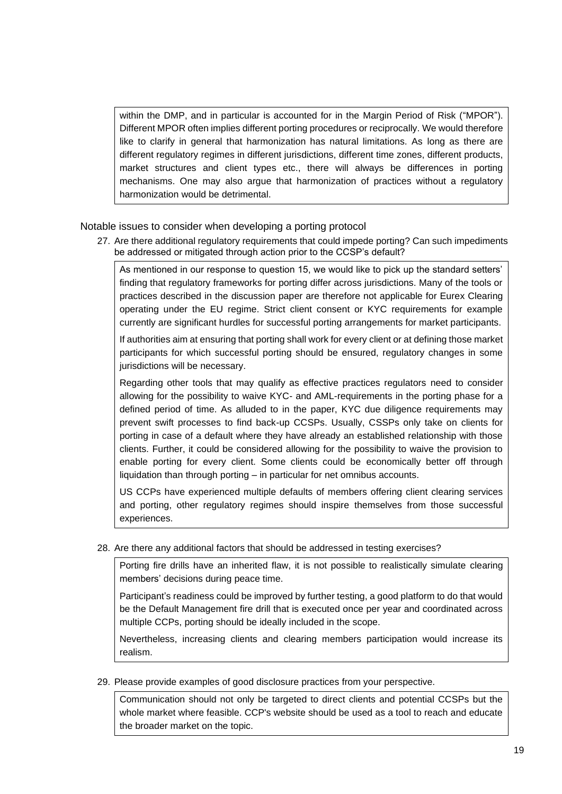within the DMP, and in particular is accounted for in the Margin Period of Risk ("MPOR"). Different MPOR often implies different porting procedures or reciprocally. We would therefore like to clarify in general that harmonization has natural limitations. As long as there are different regulatory regimes in different jurisdictions, different time zones, different products, market structures and client types etc., there will always be differences in porting mechanisms. One may also argue that harmonization of practices without a regulatory harmonization would be detrimental.

Notable issues to consider when developing a porting protocol

27. Are there additional regulatory requirements that could impede porting? Can such impediments be addressed or mitigated through action prior to the CCSP's default?

As mentioned in our response to question 15, we would like to pick up the standard setters' finding that regulatory frameworks for porting differ across jurisdictions. Many of the tools or practices described in the discussion paper are therefore not applicable for Eurex Clearing operating under the EU regime. Strict client consent or KYC requirements for example currently are significant hurdles for successful porting arrangements for market participants.

If authorities aim at ensuring that porting shall work for every client or at defining those market participants for which successful porting should be ensured, regulatory changes in some jurisdictions will be necessary.

Regarding other tools that may qualify as effective practices regulators need to consider allowing for the possibility to waive KYC- and AML-requirements in the porting phase for a defined period of time. As alluded to in the paper, KYC due diligence requirements may prevent swift processes to find back-up CCSPs. Usually, CSSPs only take on clients for porting in case of a default where they have already an established relationship with those clients. Further, it could be considered allowing for the possibility to waive the provision to enable porting for every client. Some clients could be economically better off through liquidation than through porting – in particular for net omnibus accounts.

US CCPs have experienced multiple defaults of members offering client clearing services and porting, other regulatory regimes should inspire themselves from those successful experiences.

28. Are there any additional factors that should be addressed in testing exercises?

Porting fire drills have an inherited flaw, it is not possible to realistically simulate clearing members' decisions during peace time.

Participant's readiness could be improved by further testing, a good platform to do that would be the Default Management fire drill that is executed once per year and coordinated across multiple CCPs, porting should be ideally included in the scope.

Nevertheless, increasing clients and clearing members participation would increase its realism.

29. Please provide examples of good disclosure practices from your perspective.

Communication should not only be targeted to direct clients and potential CCSPs but the whole market where feasible. CCP's website should be used as a tool to reach and educate the broader market on the topic.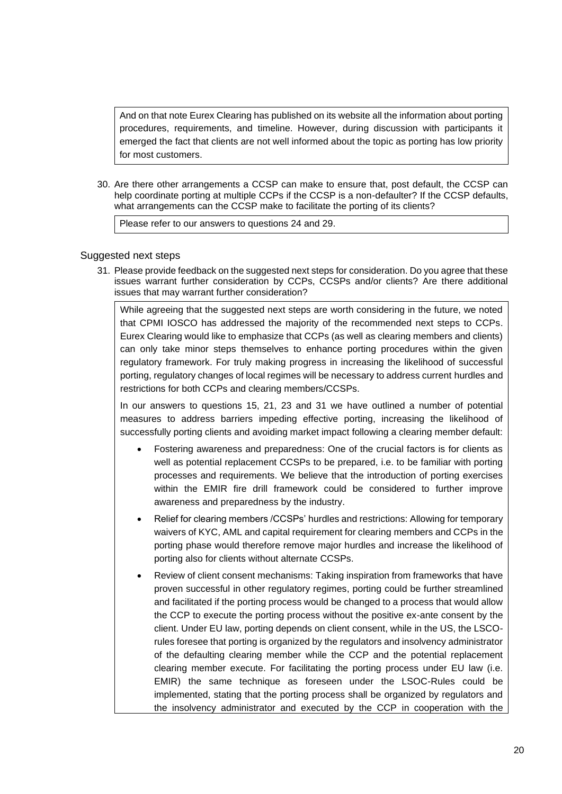And on that note Eurex Clearing has published on its website all the information about porting procedures, requirements, and timeline. However, during discussion with participants it emerged the fact that clients are not well informed about the topic as porting has low priority for most customers.

30. Are there other arrangements a CCSP can make to ensure that, post default, the CCSP can help coordinate porting at multiple CCPs if the CCSP is a non-defaulter? If the CCSP defaults, what arrangements can the CCSP make to facilitate the porting of its clients?

Please refer to our answers to questions 24 and 29.

### Suggested next steps

31. Please provide feedback on the suggested next steps for consideration. Do you agree that these issues warrant further consideration by CCPs, CCSPs and/or clients? Are there additional issues that may warrant further consideration?

While agreeing that the suggested next steps are worth considering in the future, we noted that CPMI IOSCO has addressed the majority of the recommended next steps to CCPs. Eurex Clearing would like to emphasize that CCPs (as well as clearing members and clients) can only take minor steps themselves to enhance porting procedures within the given regulatory framework. For truly making progress in increasing the likelihood of successful porting, regulatory changes of local regimes will be necessary to address current hurdles and restrictions for both CCPs and clearing members/CCSPs.

In our answers to questions 15, 21, 23 and 31 we have outlined a number of potential measures to address barriers impeding effective porting, increasing the likelihood of successfully porting clients and avoiding market impact following a clearing member default:

- Fostering awareness and preparedness: One of the crucial factors is for clients as well as potential replacement CCSPs to be prepared, i.e. to be familiar with porting processes and requirements. We believe that the introduction of porting exercises within the EMIR fire drill framework could be considered to further improve awareness and preparedness by the industry.
- Relief for clearing members /CCSPs' hurdles and restrictions: Allowing for temporary waivers of KYC, AML and capital requirement for clearing members and CCPs in the porting phase would therefore remove major hurdles and increase the likelihood of porting also for clients without alternate CCSPs.
- Review of client consent mechanisms: Taking inspiration from frameworks that have proven successful in other regulatory regimes, porting could be further streamlined and facilitated if the porting process would be changed to a process that would allow the CCP to execute the porting process without the positive ex-ante consent by the client. Under EU law, porting depends on client consent, while in the US, the LSCOrules foresee that porting is organized by the regulators and insolvency administrator of the defaulting clearing member while the CCP and the potential replacement clearing member execute. For facilitating the porting process under EU law (i.e. EMIR) the same technique as foreseen under the LSOC-Rules could be implemented, stating that the porting process shall be organized by regulators and the insolvency administrator and executed by the CCP in cooperation with the